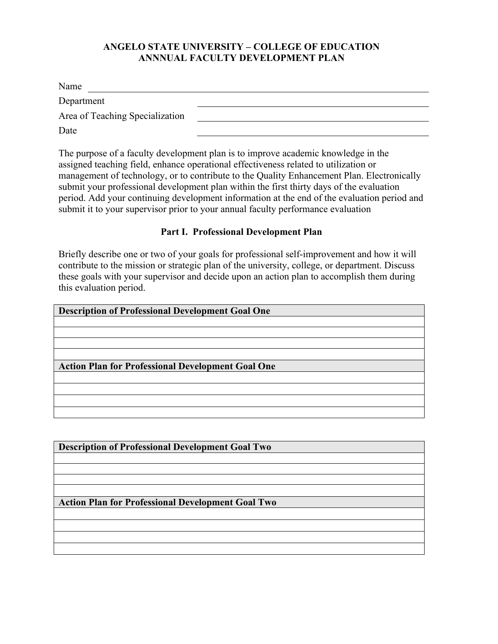## **ANGELO STATE UNIVERSITY – COLLEGE OF EDUCATION ANNNUAL FACULTY DEVELOPMENT PLAN**

| Name                            |  |
|---------------------------------|--|
| Department                      |  |
| Area of Teaching Specialization |  |
| Date                            |  |

The purpose of a faculty development plan is to improve academic knowledge in the assigned teaching field, enhance operational effectiveness related to utilization or management of technology, or to contribute to the Quality Enhancement Plan. Electronically submit your professional development plan within the first thirty days of the evaluation period. Add your continuing development information at the end of the evaluation period and submit it to your supervisor prior to your annual faculty performance evaluation

## **Part I. Professional Development Plan**

Briefly describe one or two of your goals for professional self-improvement and how it will contribute to the mission or strategic plan of the university, college, or department. Discuss these goals with your supervisor and decide upon an action plan to accomplish them during this evaluation period.

| <b>Description of Professional Development Goal One</b>  |
|----------------------------------------------------------|
|                                                          |
|                                                          |
|                                                          |
|                                                          |
|                                                          |
| <b>Action Plan for Professional Development Goal One</b> |
|                                                          |
|                                                          |
|                                                          |

**Description of Professional Development Goal Two**

**Action Plan for Professional Development Goal Two**